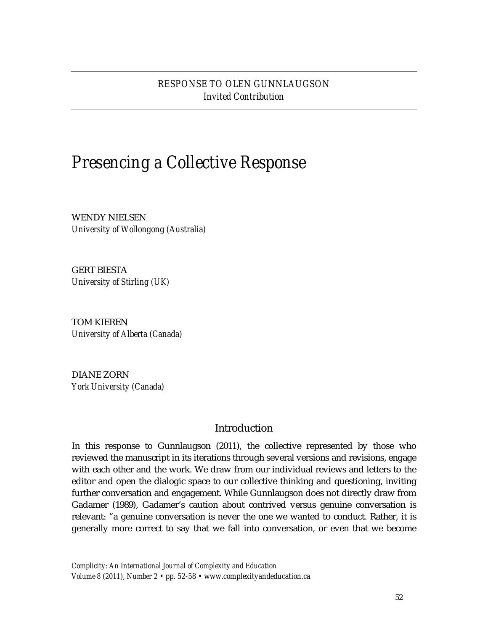# *RESPONSE TO OLEN GUNNLAUGSON Invited Contribution*

# *Presencing a Collective Response*

WENDY NIELSEN *University of Wollongong (Australia)*

GERT BIESTA *University of Stirling (UK)*

TOM KIEREN *University of Alberta (Canada)*

DIANE ZORN *York University (Canada)*

## Introduction

In this response to Gunnlaugson (2011), the collective represented by those who reviewed the manuscript in its iterations through several versions and revisions, engage with each other and the work. We draw from our individual reviews and letters to the editor and open the dialogic space to our collective thinking and questioning, inviting further conversation and engagement. While Gunnlaugson does not directly draw from Gadamer (1989), Gadamer's caution about contrived versus genuine conversation is relevant: "a genuine conversation is never the one we wanted to conduct. Rather, it is generally more correct to say that we fall into conversation, or even that we become

*Complicity: An International Journal of Complexity and Education Volume 8 (2011), Number 2 • pp. 52-58 • www.complexityandeducation.ca*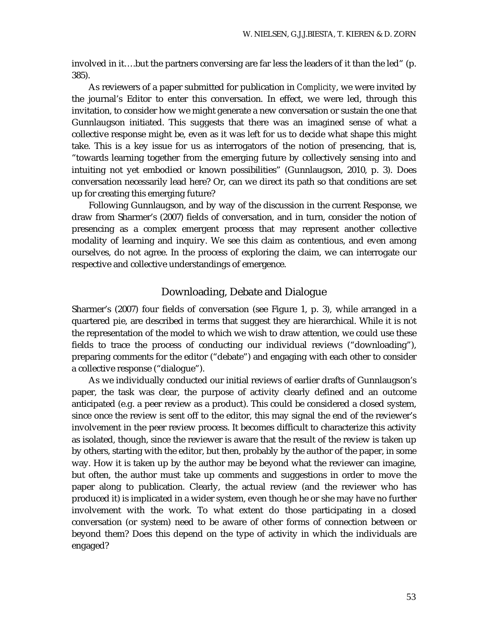involved in it….but the partners conversing are far less the leaders of it than the led" (p. 385).

As reviewers of a paper submitted for publication in *Complicity*, we were invited by the journal's Editor to enter this conversation. In effect, we were led, through this invitation, to consider how we might generate a new conversation or sustain the one that Gunnlaugson initiated. This suggests that there was an imagined sense of what a collective response might be, even as it was left for us to decide what shape this might take. This is a key issue for us as interrogators of the notion of presencing, that is, "towards learning together from the emerging future by collectively sensing into and intuiting not yet embodied or known possibilities" (Gunnlaugson, 2010, p. 3). Does conversation necessarily lead here? Or, can we direct its path so that conditions are set up for creating this emerging future?

Following Gunnlaugson, and by way of the discussion in the current Response, we draw from Sharmer's (2007) fields of conversation, and in turn, consider the notion of presencing as a complex emergent process that may represent another collective modality of learning and inquiry. We see this claim as contentious, and even among ourselves, do not agree. In the process of exploring the claim, we can interrogate our respective and collective understandings of emergence.

## Downloading, Debate and Dialogue

Sharmer's (2007) four fields of conversation (see Figure 1, p. 3), while arranged in a quartered pie, are described in terms that suggest they are hierarchical. While it is not the representation of the model to which we wish to draw attention, we could use these fields to trace the process of conducting our individual reviews ("downloading"), preparing comments for the editor ("debate") and engaging with each other to consider a collective response ("dialogue").

As we individually conducted our initial reviews of earlier drafts of Gunnlaugson's paper, the task was clear, the purpose of activity clearly defined and an outcome anticipated (e.g. a peer review as a product). This could be considered a closed system, since once the review is sent off to the editor, this may signal the end of the reviewer's involvement in the peer review process. It becomes difficult to characterize this activity as isolated, though, since the reviewer is aware that the result of the review is taken up by others, starting with the editor, but then, probably by the author of the paper, in some way. How it is taken up by the author may be beyond what the reviewer can imagine, but often, the author must take up comments and suggestions in order to move the paper along to publication. Clearly, the actual review (and the reviewer who has produced it) is implicated in a wider system, even though he or she may have no further involvement with the work. To what extent do those participating in a closed conversation (or system) need to be aware of other forms of connection between or beyond them? Does this depend on the type of activity in which the individuals are engaged?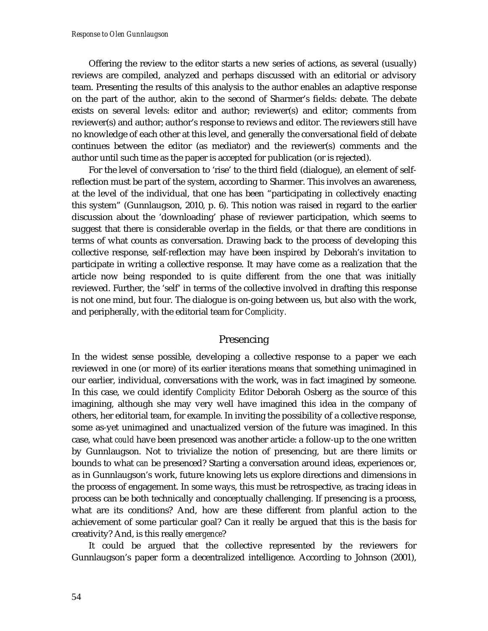Offering the review to the editor starts a new series of actions, as several (usually) reviews are compiled, analyzed and perhaps discussed with an editorial or advisory team. Presenting the results of this analysis to the author enables an adaptive response on the part of the author, akin to the second of Sharmer's fields: debate. The debate exists on several levels: editor and author; reviewer(s) and editor; comments from reviewer(s) and author; author's response to reviews and editor. The reviewers still have no knowledge of each other at this level, and generally the conversational field of debate continues between the editor (as mediator) and the reviewer(s) comments and the author until such time as the paper is accepted for publication (or is rejected).

For the level of conversation to 'rise' to the third field (dialogue), an element of selfreflection must be part of the system, according to Sharmer. This involves an awareness, at the level of the individual, that one has been "participating in collectively enacting this system" (Gunnlaugson, 2010, p. 6). This notion was raised in regard to the earlier discussion about the 'downloading' phase of reviewer participation, which seems to suggest that there is considerable overlap in the fields, or that there are conditions in terms of what counts as conversation. Drawing back to the process of developing this collective response, self-reflection may have been inspired by Deborah's invitation to participate in writing a collective response. It may have come as a realization that the article now being responded to is quite different from the one that was initially reviewed. Further, the 'self' in terms of the collective involved in drafting this response is not one mind, but four. The dialogue is on-going between us, but also with the work, and peripherally, with the editorial team for *Complicity.*

### Presencing

In the widest sense possible, developing a collective response to a paper we each reviewed in one (or more) of its earlier iterations means that something unimagined in our earlier, individual, conversations with the work, was in fact imagined by someone. In this case, we could identify *Complicity* Editor Deborah Osberg as the source of this imagining, although she may very well have imagined this idea in the company of others, her editorial team, for example. In inviting the possibility of a collective response, some as-yet unimagined and unactualized version of the future was imagined. In this case, what *could* have been presenced was another article: a follow-up to the one written by Gunnlaugson. Not to trivialize the notion of presencing, but are there limits or bounds to what *can* be presenced? Starting a conversation around ideas, experiences or, as in Gunnlaugson's work, future knowing lets us explore directions and dimensions in the process of engagement. In some ways, this must be retrospective, as tracing ideas in process can be both technically and conceptually challenging. If presencing is a process, what are its conditions? And, how are these different from planful action to the achievement of some particular goal? Can it really be argued that this is the basis for creativity? And, is this really *emergence*?

It could be argued that the collective represented by the reviewers for Gunnlaugson's paper form a decentralized intelligence. According to Johnson (2001),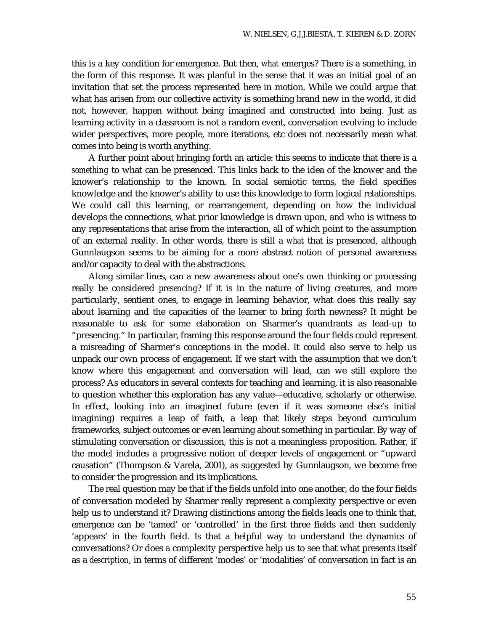this is a key condition for emergence. But then, *what* emerges? There is a something, in the form of this response. It was planful in the sense that it was an initial goal of an invitation that set the process represented here in motion. While we could argue that what has arisen from our collective activity is something brand new in the world, it did not, however, happen without being imagined and constructed into being. Just as learning activity in a classroom is not a random event, conversation evolving to include wider perspectives, more people, more iterations, etc does not necessarily mean what comes into being is worth anything.

A further point about bringing forth an article: this seems to indicate that there is a *something* to what can be presenced. This links back to the idea of the knower and the knower's relationship to the known. In social semiotic terms, the field specifies knowledge and the knower's ability to use this knowledge to form logical relationships. We could call this learning, or rearrangement, depending on how the individual develops the connections, what prior knowledge is drawn upon, and who is witness to any representations that arise from the interaction, all of which point to the assumption of an external reality. In other words, there is still a *what* that is presenced, although Gunnlaugson seems to be aiming for a more abstract notion of personal awareness and/or capacity to deal with the abstractions.

Along similar lines, can a new awareness about one's own thinking or processing really be considered *presencing*? If it is in the nature of living creatures, and more particularly, sentient ones, to engage in learning behavior, what does this really say about learning and the capacities of the learner to bring forth newness? It might be reasonable to ask for some elaboration on Sharmer's quandrants as lead-up to "presencing." In particular, framing this response around the four fields could represent a misreading of Sharmer's conceptions in the model. It could also serve to help us unpack our own process of engagement. If we start with the assumption that we don't know where this engagement and conversation will lead, can we still explore the process? As educators in several contexts for teaching and learning, it is also reasonable to question whether this exploration has any value—educative, scholarly or otherwise. In effect, looking into an imagined future (even if it was someone else's initial imagining) requires a leap of faith, a leap that likely steps beyond curriculum frameworks, subject outcomes or even learning about something in particular. By way of stimulating conversation or discussion, this is not a meaningless proposition. Rather, if the model includes a progressive notion of deeper levels of engagement or "upward causation" (Thompson & Varela, 2001), as suggested by Gunnlaugson, we become free to consider the progression and its implications.

The real question may be that if the fields unfold into one another, do the four fields of conversation modeled by Sharmer really represent a complexity perspective or even help us to understand it? Drawing distinctions among the fields leads one to think that, emergence can be 'tamed' or 'controlled' in the first three fields and then suddenly 'appears' in the fourth field. Is that a helpful way to understand the dynamics of conversations? Or does a complexity perspective help us to see that what presents itself as a *description*, in terms of different 'modes' or 'modalities' of conversation in fact is an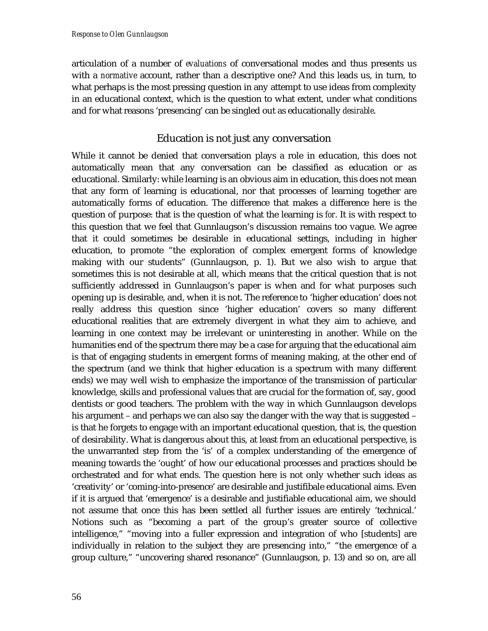articulation of a number of *evaluations* of conversational modes and thus presents us with a *normative* account, rather than a descriptive one? And this leads us, in turn, to what perhaps is the most pressing question in any attempt to use ideas from complexity in an educational context, which is the question to what extent, under what conditions and for what reasons 'presencing' can be singled out as educationally *desirable*.

## Education is not just any conversation

While it cannot be denied that conversation plays a role in education, this does not automatically mean that any conversation can be classified as education or as educational. Similarly: while learning is an obvious aim in education, this does not mean that any form of learning is educational, nor that processes of learning together are automatically forms of education. The difference that makes a difference here is the question of purpose: that is the question of what the learning is *for*. It is with respect to this question that we feel that Gunnlaugson's discussion remains too vague. We agree that it could sometimes be desirable in educational settings, including in higher education, to promote "the exploration of complex emergent forms of knowledge making with our students" (Gunnlaugson, p. 1). But we also wish to argue that sometimes this is not desirable at all, which means that the critical question that is not sufficiently addressed in Gunnlaugson's paper is when and for what purposes such opening up is desirable, and, when it is not. The reference to 'higher education' does not really address this question since 'higher education' covers so many different educational realities that are extremely divergent in what they aim to achieve, and learning in one context may be irrelevant or uninteresting in another. While on the humanities end of the spectrum there may be a case for arguing that the educational aim is that of engaging students in emergent forms of meaning making, at the other end of the spectrum (and we think that higher education is a spectrum with many different ends) we may well wish to emphasize the importance of the transmission of particular knowledge, skills and professional values that are crucial for the formation of, say, good dentists or good teachers. The problem with the way in which Gunnlaugson develops his argument – and perhaps we can also say the danger with the way that is suggested – is that he forgets to engage with an important educational question, that is, the question of desirability. What is dangerous about this, at least from an educational perspective, is the unwarranted step from the 'is' of a complex understanding of the emergence of meaning towards the 'ought' of how our educational processes and practices should be orchestrated and for what ends. The question here is not only whether such ideas as 'creativity' or 'coming-into-presence' are desirable and justifibale educational aims. Even if it is argued that 'emergence' is a desirable and justifiable educational aim, we should not assume that once this has been settled all further issues are entirely 'technical.' Notions such as "becoming a part of the group's greater source of collective intelligence," "moving into a fuller expression and integration of who [students] are individually in relation to the subject they are presencing into," "the emergence of a group culture," "uncovering shared resonance" (Gunnlaugson, p. 13) and so on, are all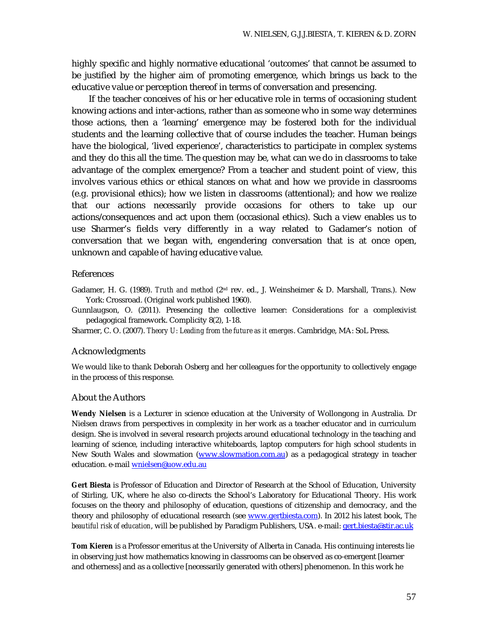highly specific and highly normative educational 'outcomes' that cannot be assumed to be justified by the higher aim of promoting emergence, which brings us back to the educative value or perception thereof in terms of conversation and presencing.

If the teacher conceives of his or her educative role in terms of occasioning student knowing actions and inter-actions, rather than as someone who in some way determines those actions, then a 'learning' emergence may be fostered both for the individual students and the learning collective that of course includes the teacher. Human beings have the biological, 'lived experience', characteristics to participate in complex systems and they do this all the time. The question may be, what can we do in classrooms to take advantage of the complex emergence? From a teacher and student point of view, this involves various ethics or ethical stances on what and how we provide in classrooms (e.g. provisional ethics); how we listen in classrooms (attentional); and how we realize that our actions necessarily provide occasions for others to take up our actions/consequences and act upon them (occasional ethics). Such a view enables us to use Sharmer's fields very differently in a way related to Gadamer's notion of conversation that we began with, engendering conversation that is at once open, unknown and capable of having educative value.

#### References

Gadamer, H. G. (1989). *Truth and method* (2nd rev. ed., J. Weinsheimer & D. Marshall, Trans.). New York: Crossroad. (Original work published 1960).

Gunnlaugson, O. (2011). Presencing the collective learner: Considerations for a complexivist pedagogical framework. Complicity 8(2), 1-18.

Sharmer, C. O. (2007). *Theory U: Leading from the future as it emerges*. Cambridge, MA: SoL Press.

#### Acknowledgments

We would like to thank Deborah Osberg and her colleagues for the opportunity to collectively engage in the process of this response.

#### About the Authors

**Wendy Nielsen** is a Lecturer in science education at the University of Wollongong in Australia. Dr Nielsen draws from perspectives in complexity in her work as a teacher educator and in curriculum design. She is involved in several research projects around educational technology in the teaching and learning of science, including interactive whiteboards, laptop computers for high school students in New South Wales and slowmation (www.slowmation.com.au) as a pedagogical strategy in teacher education. e-mail wnielsen@uow.edu.au

**Gert Biesta** is Professor of Education and Director of Research at the School of Education, University of Stirling, UK, where he also co-directs the School's Laboratory for Educational Theory. His work focuses on the theory and philosophy of education, questions of citizenship and democracy, and the theory and philosophy of educational research (see www.gertbiesta.com). In 2012 his latest book, *The beautiful risk of education*, will be published by Paradigm Publishers, USA. e-mail: gert.biesta@stir.ac.uk

**Tom Kieren** is a Professor emeritus at the University of Alberta in Canada. His continuing interests lie in observing just how mathematics knowing in classrooms can be observed as co-emergent [learner and otherness] and as a collective [necessarily generated with others] phenomenon. In this work he